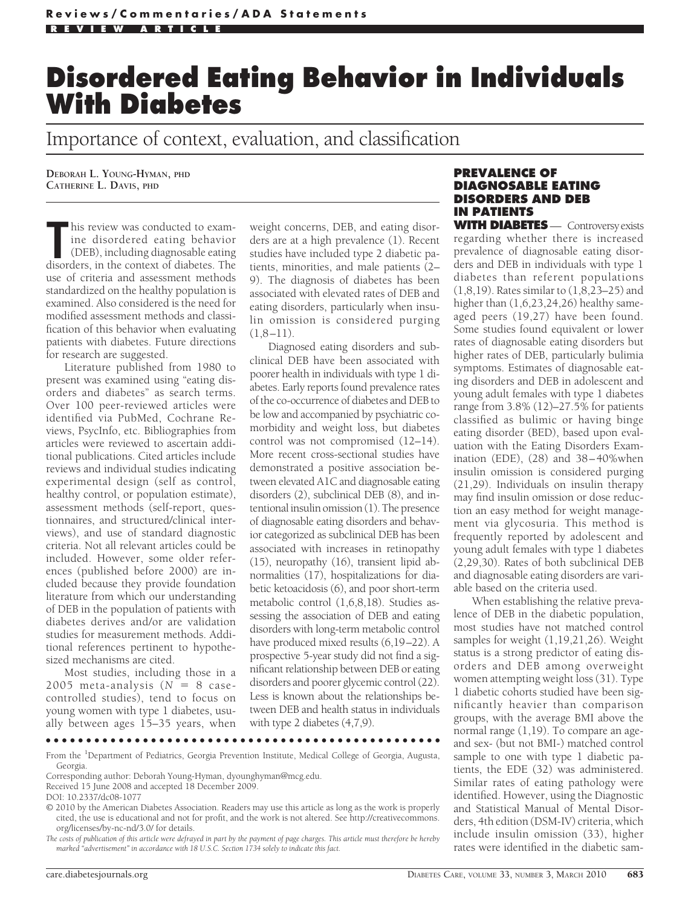# **Disordered Eating Behavior in Individuals With Diabetes**

Importance of context, evaluation, and classification

**DEBORAH L. YOUNG-HYMAN, PHD CATHERINE L. DAVIS, PHD**

Inis review was conducted to examine disordered eating behavior (DEB), including diagnosable eating disorders, in the context of diabetes. The his review was conducted to examine disordered eating behavior (DEB), including diagnosable eating use of criteria and assessment methods standardized on the healthy population is examined. Also considered is the need for modified assessment methods and classification of this behavior when evaluating patients with diabetes. Future directions for research are suggested.

Literature published from 1980 to present was examined using "eating disorders and diabetes" as search terms. Over 100 peer-reviewed articles were identified via PubMed, Cochrane Reviews, PsycInfo, etc. Bibliographies from articles were reviewed to ascertain additional publications. Cited articles include reviews and individual studies indicating experimental design (self as control, healthy control, or population estimate), assessment methods (self-report, questionnaires, and structured/clinical interviews), and use of standard diagnostic criteria. Not all relevant articles could be included. However, some older references (published before 2000) are included because they provide foundation literature from which our understanding of DEB in the population of patients with diabetes derives and/or are validation studies for measurement methods. Additional references pertinent to hypothesized mechanisms are cited.

Most studies, including those in a 2005 meta-analysis  $(N = 8 \text{ case}$ controlled studies), tend to focus on young women with type 1 diabetes, usually between ages 15–35 years, when

weight concerns, DEB, and eating disorders are at a high prevalence (1). Recent studies have included type 2 diabetic patients, minorities, and male patients (2– 9). The diagnosis of diabetes has been associated with elevated rates of DEB and eating disorders, particularly when insulin omission is considered purging  $(1, 8 - 11)$ .

Diagnosed eating disorders and subclinical DEB have been associated with poorer health in individuals with type 1 diabetes. Early reports found prevalence rates of the co-occurrence of diabetes and DEB to be low and accompanied by psychiatric comorbidity and weight loss, but diabetes control was not compromised (12–14). More recent cross-sectional studies have demonstrated a positive association between elevated A1C and diagnosable eating disorders (2), subclinical DEB (8), and intentional insulin omission (1). The presence of diagnosable eating disorders and behavior categorized as subclinical DEB has been associated with increases in retinopathy (15), neuropathy (16), transient lipid abnormalities (17), hospitalizations for diabetic ketoacidosis (6), and poor short-term metabolic control (1,6,8,18). Studies assessing the association of DEB and eating disorders with long-term metabolic control have produced mixed results (6,19–22). A prospective 5-year study did not find a significant relationship between DEB or eating disorders and poorer glycemic control (22). Less is known about the relationships between DEB and health status in individuals with type 2 diabetes (4,7,9).

●●●●●●●●●●●●●●●●●●●●●●●●●●●●●●●●●●●●●●●●●●●●●●●●● From the <sup>1</sup>Department of Pediatrics, Georgia Prevention Institute, Medical College of Georgia, Augusta, Georgia.

# **PREVALENCE OF DIAGNOSABLE EATING DISORDERS AND DEB IN PATIENTS**

**WITH DIABETES**— Controversy exists regarding whether there is increased prevalence of diagnosable eating disorders and DEB in individuals with type 1 diabetes than referent populations (1,8,19). Rates similar to (1,8,23–25) and higher than  $(1,6,23,24,26)$  healthy sameaged peers (19,27) have been found. Some studies found equivalent or lower rates of diagnosable eating disorders but higher rates of DEB, particularly bulimia symptoms. Estimates of diagnosable eating disorders and DEB in adolescent and young adult females with type 1 diabetes range from 3.8% (12)–27.5% for patients classified as bulimic or having binge eating disorder (BED), based upon evaluation with the Eating Disorders Examination (EDE),  $(28)$  and  $38-40%$  when insulin omission is considered purging (21,29). Individuals on insulin therapy may find insulin omission or dose reduction an easy method for weight management via glycosuria. This method is frequently reported by adolescent and young adult females with type 1 diabetes (2,29,30). Rates of both subclinical DEB and diagnosable eating disorders are variable based on the criteria used.

When establishing the relative prevalence of DEB in the diabetic population, most studies have not matched control samples for weight (1,19,21,26). Weight status is a strong predictor of eating disorders and DEB among overweight women attempting weight loss (31). Type 1 diabetic cohorts studied have been significantly heavier than comparison groups, with the average BMI above the normal range (1,19). To compare an ageand sex- (but not BMI-) matched control sample to one with type 1 diabetic patients, the EDE (32) was administered. Similar rates of eating pathology were identified. However, using the Diagnostic and Statistical Manual of Mental Disorders, 4th edition (DSM-IV) criteria, which include insulin omission (33), higher rates were identified in the diabetic sam-

Corresponding author: Deborah Young-Hyman, dyounghyman@mcg.edu.

Received 15 June 2008 and accepted 18 December 2009.

DOI: 10.2337/dc08-1077

<sup>© 2010</sup> by the American Diabetes Association. Readers may use this article as long as the work is properly cited, the use is educational and not for profit, and the work is not altered. See http://creativecommons. org/licenses/by-nc-nd/3.0/ for details.

*The costs of publication of this article were defrayed in part by the payment of page charges. This article must therefore be hereby marked "advertisement" in accordance with 18 U.S.C. Section 1734 solely to indicate this fact.*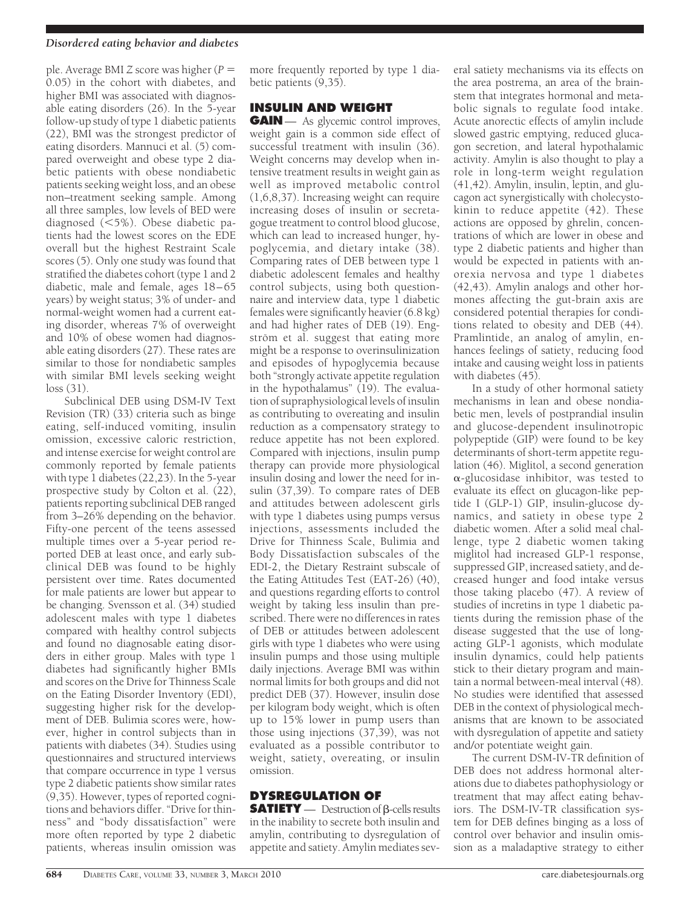## *Disordered eating behavior and diabetes*

ple. Average BMI *Z* score was higher (*P* 0.05) in the cohort with diabetes, and higher BMI was associated with diagnosable eating disorders (26). In the 5-year follow-up study of type 1 diabetic patients (22), BMI was the strongest predictor of eating disorders. Mannuci et al. (5) compared overweight and obese type 2 diabetic patients with obese nondiabetic patients seeking weight loss, and an obese non–treatment seeking sample. Among all three samples, low levels of BED were diagnosed (<5%). Obese diabetic patients had the lowest scores on the EDE overall but the highest Restraint Scale scores (5). Only one study was found that stratified the diabetes cohort (type 1 and 2 diabetic, male and female, ages 18 – 65 years) by weight status; 3% of under- and normal-weight women had a current eating disorder, whereas 7% of overweight and 10% of obese women had diagnosable eating disorders (27). These rates are similar to those for nondiabetic samples with similar BMI levels seeking weight loss (31).

Subclinical DEB using DSM-IV Text Revision (TR) (33) criteria such as binge eating, self-induced vomiting, insulin omission, excessive caloric restriction, and intense exercise for weight control are commonly reported by female patients with type 1 diabetes (22,23). In the 5-year prospective study by Colton et al. (22), patients reporting subclinical DEB ranged from 3–26% depending on the behavior. Fifty-one percent of the teens assessed multiple times over a 5-year period reported DEB at least once, and early subclinical DEB was found to be highly persistent over time. Rates documented for male patients are lower but appear to be changing. Svensson et al. (34) studied adolescent males with type 1 diabetes compared with healthy control subjects and found no diagnosable eating disorders in either group. Males with type 1 diabetes had significantly higher BMIs and scores on the Drive for Thinness Scale on the Eating Disorder Inventory (EDI), suggesting higher risk for the development of DEB. Bulimia scores were, however, higher in control subjects than in patients with diabetes (34). Studies using questionnaires and structured interviews that compare occurrence in type 1 versus type 2 diabetic patients show similar rates (9,35). However, types of reported cognitions and behaviors differ. "Drive for thinness" and "body dissatisfaction" were more often reported by type 2 diabetic patients, whereas insulin omission was

more frequently reported by type 1 diabetic patients (9,35).

# **INSULIN AND WEIGHT**

**GAIN** — As glycemic control improves, weight gain is a common side effect of successful treatment with insulin (36). Weight concerns may develop when intensive treatment results in weight gain as well as improved metabolic control (1,6,8,37). Increasing weight can require increasing doses of insulin or secretagogue treatment to control blood glucose, which can lead to increased hunger, hypoglycemia, and dietary intake (38). Comparing rates of DEB between type 1 diabetic adolescent females and healthy control subjects, using both questionnaire and interview data, type 1 diabetic females were significantly heavier (6.8 kg) and had higher rates of DEB (19). Engström et al. suggest that eating more might be a response to overinsulinization and episodes of hypoglycemia because both "strongly activate appetite regulation in the hypothalamus" (19). The evaluation of supraphysiological levels of insulin as contributing to overeating and insulin reduction as a compensatory strategy to reduce appetite has not been explored. Compared with injections, insulin pump therapy can provide more physiological insulin dosing and lower the need for insulin (37,39). To compare rates of DEB and attitudes between adolescent girls with type 1 diabetes using pumps versus injections, assessments included the Drive for Thinness Scale, Bulimia and Body Dissatisfaction subscales of the EDI-2, the Dietary Restraint subscale of the Eating Attitudes Test (EAT-26) (40), and questions regarding efforts to control weight by taking less insulin than prescribed. There were no differences in rates of DEB or attitudes between adolescent girls with type 1 diabetes who were using insulin pumps and those using multiple daily injections. Average BMI was within normal limits for both groups and did not predict DEB (37). However, insulin dose per kilogram body weight, which is often up to 15% lower in pump users than those using injections (37,39), was not evaluated as a possible contributor to weight, satiety, overeating, or insulin omission.

# **DYSREGULATION OF**

**SATIETY** — Destruction of *B*-cells results in the inability to secrete both insulin and amylin, contributing to dysregulation of appetite and satiety. Amylin mediates several satiety mechanisms via its effects on the area postrema, an area of the brainstem that integrates hormonal and metabolic signals to regulate food intake. Acute anorectic effects of amylin include slowed gastric emptying, reduced glucagon secretion, and lateral hypothalamic activity. Amylin is also thought to play a role in long-term weight regulation (41,42). Amylin, insulin, leptin, and glucagon act synergistically with cholecystokinin to reduce appetite (42). These actions are opposed by ghrelin, concentrations of which are lower in obese and type 2 diabetic patients and higher than would be expected in patients with anorexia nervosa and type 1 diabetes (42,43). Amylin analogs and other hormones affecting the gut-brain axis are considered potential therapies for conditions related to obesity and DEB (44). Pramlintide, an analog of amylin, enhances feelings of satiety, reducing food intake and causing weight loss in patients with diabetes (45).

In a study of other hormonal satiety mechanisms in lean and obese nondiabetic men, levels of postprandial insulin and glucose-dependent insulinotropic polypeptide (GIP) were found to be key determinants of short-term appetite regulation (46). Miglitol, a second generation  $\alpha$ -glucosidase inhibitor, was tested to evaluate its effect on glucagon-like peptide I (GLP-1) GIP, insulin-glucose dynamics, and satiety in obese type 2 diabetic women. After a solid meal challenge, type 2 diabetic women taking miglitol had increased GLP-1 response, suppressed GIP, increased satiety, and decreased hunger and food intake versus those taking placebo (47). A review of studies of incretins in type 1 diabetic patients during the remission phase of the disease suggested that the use of longacting GLP-1 agonists, which modulate insulin dynamics, could help patients stick to their dietary program and maintain a normal between-meal interval (48). No studies were identified that assessed DEB in the context of physiological mechanisms that are known to be associated with dysregulation of appetite and satiety and/or potentiate weight gain.

The current DSM-IV-TR definition of DEB does not address hormonal alterations due to diabetes pathophysiology or treatment that may affect eating behaviors. The DSM-IV-TR classification system for DEB defines binging as a loss of control over behavior and insulin omission as a maladaptive strategy to either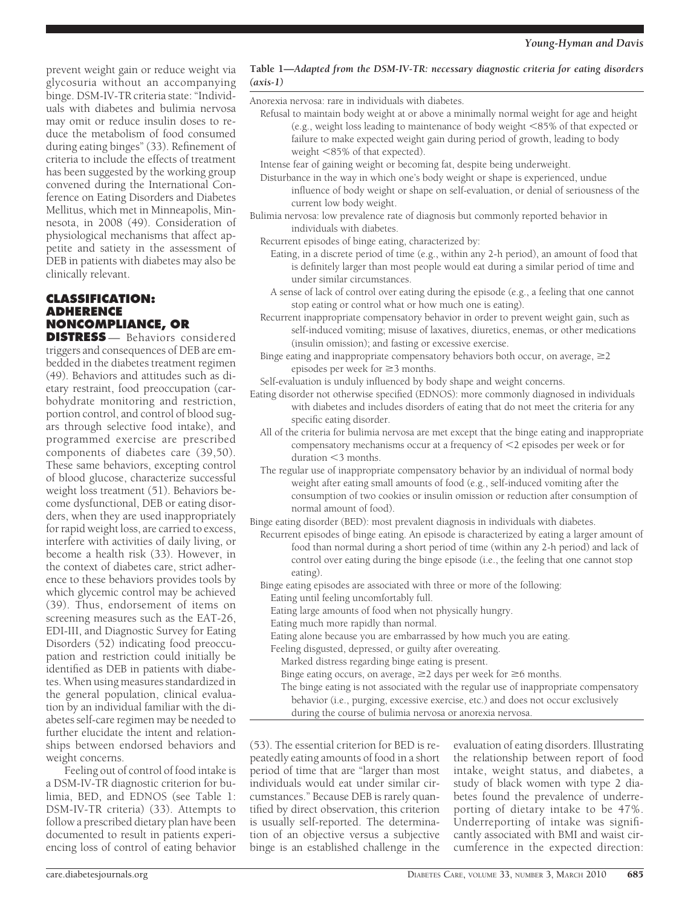prevent weight gain or reduce weight via glycosuria without an accompanying binge. DSM-IV-TR criteria state: "Individuals with diabetes and bulimia nervosa may omit or reduce insulin doses to reduce the metabolism of food consumed during eating binges" (33). Refinement of criteria to include the effects of treatment has been suggested by the working group convened during the International Conference on Eating Disorders and Diabetes Mellitus, which met in Minneapolis, Minnesota, in 2008 (49). Consideration of physiological mechanisms that affect appetite and satiety in the assessment of DEB in patients with diabetes may also be clinically relevant.

# **CLASSIFICATION: ADHERENCE NONCOMPLIANCE, OR**

**DISTRESS** — Behaviors considered triggers and consequences of DEB are embedded in the diabetes treatment regimen (49). Behaviors and attitudes such as dietary restraint, food preoccupation (carbohydrate monitoring and restriction, portion control, and control of blood sugars through selective food intake), and programmed exercise are prescribed components of diabetes care (39,50). These same behaviors, excepting control of blood glucose, characterize successful weight loss treatment (51). Behaviors become dysfunctional, DEB or eating disorders, when they are used inappropriately for rapid weight loss, are carried to excess, interfere with activities of daily living, or become a health risk (33). However, in the context of diabetes care, strict adherence to these behaviors provides tools by which glycemic control may be achieved (39). Thus, endorsement of items on screening measures such as the EAT-26, EDI-III, and Diagnostic Survey for Eating Disorders (52) indicating food preoccupation and restriction could initially be identified as DEB in patients with diabetes. When using measures standardized in the general population, clinical evaluation by an individual familiar with the diabetes self-care regimen may be needed to further elucidate the intent and relationships between endorsed behaviors and weight concerns.

Feeling out of control of food intake is a DSM-IV-TR diagnostic criterion for bulimia, BED, and EDNOS (see Table 1: DSM-IV-TR criteria) (33). Attempts to follow a prescribed dietary plan have been documented to result in patients experiencing loss of control of eating behavior

## **Table 1—***Adapted from the DSM-IV-TR: necessary diagnostic criteria for eating disorders (axis-1)*

- Anorexia nervosa: rare in individuals with diabetes.
	- Refusal to maintain body weight at or above a minimally normal weight for age and height (e.g., weight loss leading to maintenance of body weight <85% of that expected or failure to make expected weight gain during period of growth, leading to body weight <85% of that expected).
	- Intense fear of gaining weight or becoming fat, despite being underweight.
	- Disturbance in the way in which one's body weight or shape is experienced, undue influence of body weight or shape on self-evaluation, or denial of seriousness of the current low body weight.
- Bulimia nervosa: low prevalence rate of diagnosis but commonly reported behavior in individuals with diabetes.
	- Recurrent episodes of binge eating, characterized by:
		- Eating, in a discrete period of time (e.g., within any 2-h period), an amount of food that is definitely larger than most people would eat during a similar period of time and under similar circumstances.
		- A sense of lack of control over eating during the episode (e.g., a feeling that one cannot stop eating or control what or how much one is eating).
	- Recurrent inappropriate compensatory behavior in order to prevent weight gain, such as self-induced vomiting; misuse of laxatives, diuretics, enemas, or other medications (insulin omission); and fasting or excessive exercise.
	- Binge eating and inappropriate compensatory behaviors both occur, on average,  $\geq$  2 episodes per week for  $\geq$ 3 months.
- Self-evaluation is unduly influenced by body shape and weight concerns.
- Eating disorder not otherwise specified (EDNOS): more commonly diagnosed in individuals with diabetes and includes disorders of eating that do not meet the criteria for any specific eating disorder.
	- All of the criteria for bulimia nervosa are met except that the binge eating and inappropriate compensatory mechanisms occur at a frequency of  $\leq$ 2 episodes per week or for duration <3 months.
	- The regular use of inappropriate compensatory behavior by an individual of normal body weight after eating small amounts of food (e.g., self-induced vomiting after the consumption of two cookies or insulin omission or reduction after consumption of normal amount of food).

Binge eating disorder (BED): most prevalent diagnosis in individuals with diabetes.

- Recurrent episodes of binge eating. An episode is characterized by eating a larger amount of food than normal during a short period of time (within any 2-h period) and lack of control over eating during the binge episode (i.e., the feeling that one cannot stop eating).
- Binge eating episodes are associated with three or more of the following: Eating until feeling uncomfortably full.
- Eating large amounts of food when not physically hungry.

Eating much more rapidly than normal.

- Eating alone because you are embarrassed by how much you are eating.
- Feeling disgusted, depressed, or guilty after overeating.
	- Marked distress regarding binge eating is present.
	- Binge eating occurs, on average,  $\geq$  2 days per week for  $\geq$  6 months.
	- The binge eating is not associated with the regular use of inappropriate compensatory behavior (i.e., purging, excessive exercise, etc.) and does not occur exclusively during the course of bulimia nervosa or anorexia nervosa.

(53). The essential criterion for BED is repeatedly eating amounts of food in a short period of time that are "larger than most individuals would eat under similar circumstances." Because DEB is rarely quantified by direct observation, this criterion is usually self-reported. The determination of an objective versus a subjective binge is an established challenge in the

evaluation of eating disorders. Illustrating the relationship between report of food intake, weight status, and diabetes, a study of black women with type 2 diabetes found the prevalence of underreporting of dietary intake to be 47%. Underreporting of intake was significantly associated with BMI and waist circumference in the expected direction: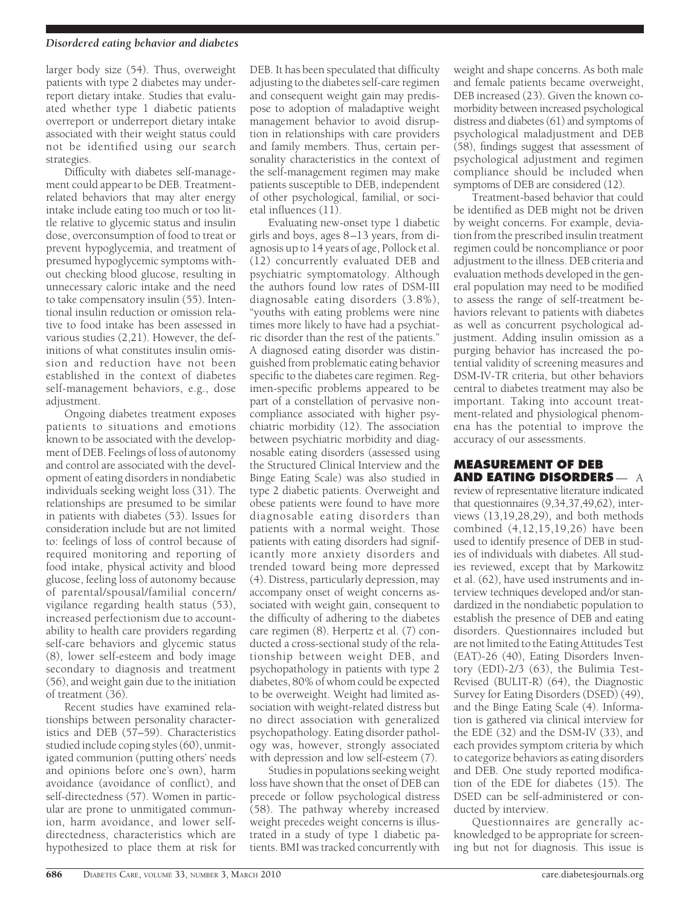#### *Disordered eating behavior and diabetes*

larger body size (54). Thus, overweight patients with type 2 diabetes may underreport dietary intake. Studies that evaluated whether type 1 diabetic patients overreport or underreport dietary intake associated with their weight status could not be identified using our search strategies.

Difficulty with diabetes self-management could appear to be DEB. Treatmentrelated behaviors that may alter energy intake include eating too much or too little relative to glycemic status and insulin dose, overconsumption of food to treat or prevent hypoglycemia, and treatment of presumed hypoglycemic symptoms without checking blood glucose, resulting in unnecessary caloric intake and the need to take compensatory insulin (55). Intentional insulin reduction or omission relative to food intake has been assessed in various studies (2,21). However, the definitions of what constitutes insulin omission and reduction have not been established in the context of diabetes self-management behaviors, e.g., dose adjustment.

Ongoing diabetes treatment exposes patients to situations and emotions known to be associated with the development of DEB. Feelings of loss of autonomy and control are associated with the development of eating disorders in nondiabetic individuals seeking weight loss (31). The relationships are presumed to be similar in patients with diabetes (53). Issues for consideration include but are not limited to: feelings of loss of control because of required monitoring and reporting of food intake, physical activity and blood glucose, feeling loss of autonomy because of parental/spousal/familial concern/ vigilance regarding health status (53), increased perfectionism due to accountability to health care providers regarding self-care behaviors and glycemic status (8), lower self-esteem and body image secondary to diagnosis and treatment (56), and weight gain due to the initiation of treatment (36).

Recent studies have examined relationships between personality characteristics and DEB (57–59). Characteristics studied include coping styles (60), unmitigated communion (putting others' needs and opinions before one's own), harm avoidance (avoidance of conflict), and self-directedness (57). Women in particular are prone to unmitigated communion, harm avoidance, and lower selfdirectedness, characteristics which are hypothesized to place them at risk for

DEB. It has been speculated that difficulty adjusting to the diabetes self-care regimen and consequent weight gain may predispose to adoption of maladaptive weight management behavior to avoid disruption in relationships with care providers and family members. Thus, certain personality characteristics in the context of the self-management regimen may make patients susceptible to DEB, independent of other psychological, familial, or societal influences (11).

Evaluating new-onset type 1 diabetic girls and boys, ages 8 –13 years, from diagnosis up to 14 years of age, Pollock et al. (12) concurrently evaluated DEB and psychiatric symptomatology. Although the authors found low rates of DSM-III diagnosable eating disorders (3.8%), "youths with eating problems were nine times more likely to have had a psychiatric disorder than the rest of the patients." A diagnosed eating disorder was distinguished from problematic eating behavior specific to the diabetes care regimen. Regimen-specific problems appeared to be part of a constellation of pervasive noncompliance associated with higher psychiatric morbidity (12). The association between psychiatric morbidity and diagnosable eating disorders (assessed using the Structured Clinical Interview and the Binge Eating Scale) was also studied in type 2 diabetic patients. Overweight and obese patients were found to have more diagnosable eating disorders than patients with a normal weight. Those patients with eating disorders had significantly more anxiety disorders and trended toward being more depressed (4). Distress, particularly depression, may accompany onset of weight concerns associated with weight gain, consequent to the difficulty of adhering to the diabetes care regimen (8). Herpertz et al. (7) conducted a cross-sectional study of the relationship between weight DEB, and psychopathology in patients with type 2 diabetes, 80% of whom could be expected to be overweight. Weight had limited association with weight-related distress but no direct association with generalized psychopathology. Eating disorder pathology was, however, strongly associated with depression and low self-esteem (7).

Studies in populations seeking weight loss have shown that the onset of DEB can precede or follow psychological distress (58). The pathway whereby increased weight precedes weight concerns is illustrated in a study of type 1 diabetic patients. BMI was tracked concurrently with

weight and shape concerns. As both male and female patients became overweight, DEB increased (23). Given the known comorbidity between increased psychological distress and diabetes (61) and symptoms of psychological maladjustment and DEB (58), findings suggest that assessment of psychological adjustment and regimen compliance should be included when symptoms of DEB are considered (12).

Treatment-based behavior that could be identified as DEB might not be driven by weight concerns. For example, deviation from the prescribed insulin treatment regimen could be noncompliance or poor adjustment to the illness. DEB criteria and evaluation methods developed in the general population may need to be modified to assess the range of self-treatment behaviors relevant to patients with diabetes as well as concurrent psychological adjustment. Adding insulin omission as a purging behavior has increased the potential validity of screening measures and DSM-IV-TR criteria, but other behaviors central to diabetes treatment may also be important. Taking into account treatment-related and physiological phenomena has the potential to improve the accuracy of our assessments.

## **MEASUREMENT OF DEB AND EATING DISORDERS** — A

review of representative literature indicated that questionnaires (9,34,37,49,62), interviews (13,19,28,29), and both methods combined (4,12,15,19,26) have been used to identify presence of DEB in studies of individuals with diabetes. All studies reviewed, except that by Markowitz et al. (62), have used instruments and interview techniques developed and/or standardized in the nondiabetic population to establish the presence of DEB and eating disorders. Questionnaires included but are not limited to the Eating Attitudes Test (EAT)-26 (40), Eating Disorders Inventory (EDI)-2/3 (63), the Bulimia Test-Revised (BULIT-R) (64), the Diagnostic Survey for Eating Disorders (DSED) (49), and the Binge Eating Scale (4). Information is gathered via clinical interview for the EDE (32) and the DSM-IV (33), and each provides symptom criteria by which to categorize behaviors as eating disorders and DEB. One study reported modification of the EDE for diabetes (15). The DSED can be self-administered or conducted by interview.

Questionnaires are generally acknowledged to be appropriate for screening but not for diagnosis. This issue is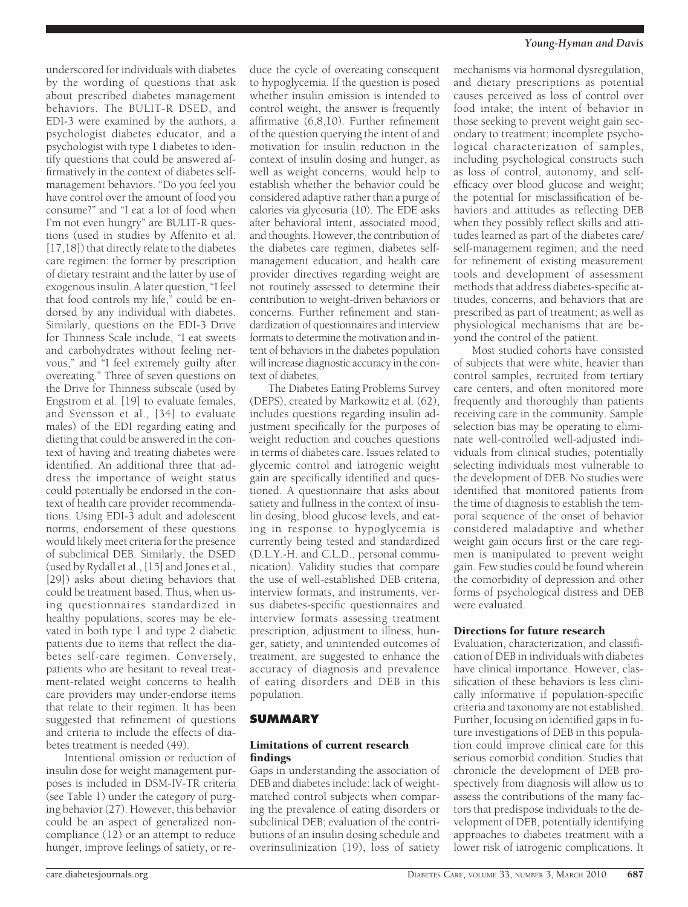underscored for individuals with diabetes by the wording of questions that ask about prescribed diabetes management behaviors. The BULIT-R DSED, and EDI-3 were examined by the authors, a psychologist diabetes educator, and a psychologist with type 1 diabetes to identify questions that could be answered affirmatively in the context of diabetes selfmanagement behaviors. "Do you feel you have control over the amount of food you consume?" and "I eat a lot of food when I'm not even hungry" are BULIT-R questions (used in studies by Affenito et al. [17,18]) that directly relate to the diabetes care regimen: the former by prescription of dietary restraint and the latter by use of exogenous insulin. A later question, "I feel that food controls my life," could be endorsed by any individual with diabetes. Similarly, questions on the EDI-3 Drive for Thinness Scale include, "I eat sweets and carbohydrates without feeling nervous," and "I feel extremely guilty after overeating." Three of seven questions on the Drive for Thinness subscale (used by Engstrom et al. [19] to evaluate females, and Svensson et al., [34] to evaluate males) of the EDI regarding eating and dieting that could be answered in the context of having and treating diabetes were identified. An additional three that address the importance of weight status could potentially be endorsed in the context of health care provider recommendations. Using EDI-3 adult and adolescent norms, endorsement of these questions would likely meet criteria for the presence of subclinical DEB. Similarly, the DSED (used by Rydall et al., [15] and Jones et al., [29]) asks about dieting behaviors that could be treatment based. Thus, when using questionnaires standardized in healthy populations, scores may be elevated in both type 1 and type 2 diabetic patients due to items that reflect the diabetes self-care regimen. Conversely, patients who are hesitant to reveal treatment-related weight concerns to health care providers may under-endorse items that relate to their regimen. It has been suggested that refinement of questions and criteria to include the effects of diabetes treatment is needed (49).

Intentional omission or reduction of insulin dose for weight management purposes is included in DSM-IV-TR criteria (see Table 1) under the category of purging behavior (27). However, this behavior could be an aspect of generalized noncompliance (12) or an attempt to reduce hunger, improve feelings of satiety, or re-

duce the cycle of overeating consequent to hypoglycemia. If the question is posed whether insulin omission is intended to control weight, the answer is frequently affirmative (6,8,10). Further refinement of the question querying the intent of and motivation for insulin reduction in the context of insulin dosing and hunger, as well as weight concerns, would help to establish whether the behavior could be considered adaptive rather than a purge of calories via glycosuria (10). The EDE asks after behavioral intent, associated mood, and thoughts. However, the contribution of the diabetes care regimen, diabetes selfmanagement education, and health care provider directives regarding weight are not routinely assessed to determine their contribution to weight-driven behaviors or concerns. Further refinement and standardization of questionnaires and interview formats to determine the motivation and intent of behaviors in the diabetes population will increase diagnostic accuracy in the context of diabetes.

The Diabetes Eating Problems Survey (DEPS), created by Markowitz et al. (62), includes questions regarding insulin adjustment specifically for the purposes of weight reduction and couches questions in terms of diabetes care. Issues related to glycemic control and iatrogenic weight gain are specifically identified and questioned. A questionnaire that asks about satiety and fullness in the context of insulin dosing, blood glucose levels, and eating in response to hypoglycemia is currently being tested and standardized (D.L.Y.-H. and C.L.D., personal communication). Validity studies that compare the use of well-established DEB criteria, interview formats, and instruments, versus diabetes-specific questionnaires and interview formats assessing treatment prescription, adjustment to illness, hunger, satiety, and unintended outcomes of treatment, are suggested to enhance the accuracy of diagnosis and prevalence of eating disorders and DEB in this population.

# **SUMMARY**

## Limitations of current research findings

Gaps in understanding the association of DEB and diabetes include: lack of weightmatched control subjects when comparing the prevalence of eating disorders or subclinical DEB; evaluation of the contributions of an insulin dosing schedule and overinsulinization (19), loss of satiety

## *Young-Hyman and Davis*

mechanisms via hormonal dysregulation, and dietary prescriptions as potential causes perceived as loss of control over food intake; the intent of behavior in those seeking to prevent weight gain secondary to treatment; incomplete psychological characterization of samples, including psychological constructs such as loss of control, autonomy, and selfefficacy over blood glucose and weight; the potential for misclassification of behaviors and attitudes as reflecting DEB when they possibly reflect skills and attitudes learned as part of the diabetes care/ self-management regimen; and the need for refinement of existing measurement tools and development of assessment methods that address diabetes-specific attitudes, concerns, and behaviors that are prescribed as part of treatment; as well as physiological mechanisms that are beyond the control of the patient.

Most studied cohorts have consisted of subjects that were white, heavier than control samples, recruited from tertiary care centers, and often monitored more frequently and thoroughly than patients receiving care in the community. Sample selection bias may be operating to eliminate well-controlled well-adjusted individuals from clinical studies, potentially selecting individuals most vulnerable to the development of DEB. No studies were identified that monitored patients from the time of diagnosis to establish the temporal sequence of the onset of behavior considered maladaptive and whether weight gain occurs first or the care regimen is manipulated to prevent weight gain. Few studies could be found wherein the comorbidity of depression and other forms of psychological distress and DEB were evaluated.

## Directions for future research

Evaluation, characterization, and classification of DEB in individuals with diabetes have clinical importance. However, classification of these behaviors is less clinically informative if population-specific criteria and taxonomy are not established. Further, focusing on identified gaps in future investigations of DEB in this population could improve clinical care for this serious comorbid condition. Studies that chronicle the development of DEB prospectively from diagnosis will allow us to assess the contributions of the many factors that predispose individuals to the development of DEB, potentially identifying approaches to diabetes treatment with a lower risk of iatrogenic complications. It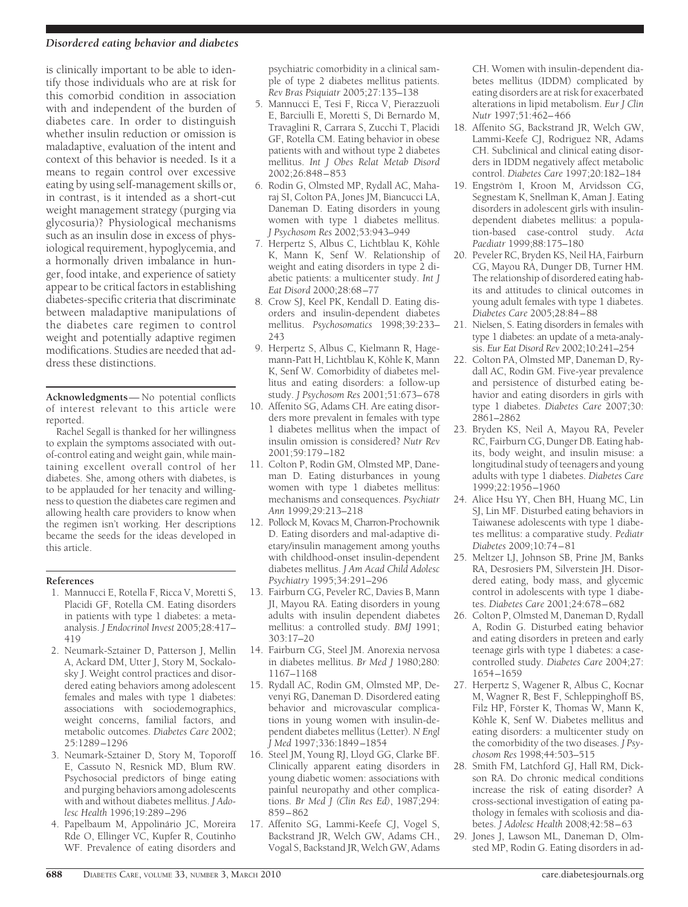## *Disordered eating behavior and diabetes*

is clinically important to be able to identify those individuals who are at risk for this comorbid condition in association with and independent of the burden of diabetes care. In order to distinguish whether insulin reduction or omission is maladaptive, evaluation of the intent and context of this behavior is needed. Is it a means to regain control over excessive eating by using self-management skills or, in contrast, is it intended as a short-cut weight management strategy (purging via glycosuria)? Physiological mechanisms such as an insulin dose in excess of physiological requirement, hypoglycemia, and a hormonally driven imbalance in hunger, food intake, and experience of satiety appear to be critical factors in establishing diabetes-specific criteria that discriminate between maladaptive manipulations of the diabetes care regimen to control weight and potentially adaptive regimen modifications. Studies are needed that address these distinctions.

**Acknowledgments**— No potential conflicts of interest relevant to this article were reported.

Rachel Segall is thanked for her willingness to explain the symptoms associated with outof-control eating and weight gain, while maintaining excellent overall control of her diabetes. She, among others with diabetes, is to be applauded for her tenacity and willingness to question the diabetes care regimen and allowing health care providers to know when the regimen isn't working. Her descriptions became the seeds for the ideas developed in this article.

### **References**

- 1. Mannucci E, Rotella F, Ricca V, Moretti S, Placidi GF, Rotella CM. Eating disorders in patients with type 1 diabetes: a metaanalysis. *J Endocrinol Invest* 2005;28:417– 419
- 2. Neumark-Sztainer D, Patterson J, Mellin A, Ackard DM, Utter J, Story M, Sockalosky J. Weight control practices and disordered eating behaviors among adolescent females and males with type 1 diabetes: associations with sociodemographics, weight concerns, familial factors, and metabolic outcomes. *Diabetes Care* 2002; 25:1289 –1296
- 3. Neumark-Sztainer D, Story M, Toporoff E, Cassuto N, Resnick MD, Blum RW. Psychosocial predictors of binge eating and purging behaviors among adolescents with and without diabetes mellitus. *J Adolesc Health* 1996;19:289 –296
- 4. Papelbaum M, Appolinário JC, Moreira Rde O, Ellinger VC, Kupfer R, Coutinho WF. Prevalence of eating disorders and

psychiatric comorbidity in a clinical sample of type 2 diabetes mellitus patients. *Rev Bras Psiquiatr* 2005;27:135–138

- 5. Mannucci E, Tesi F, Ricca V, Pierazzuoli E, Barciulli E, Moretti S, Di Bernardo M, Travaglini R, Carrara S, Zucchi T, Placidi GF, Rotella CM. Eating behavior in obese patients with and without type 2 diabetes mellitus. *Int J Obes Relat Metab Disord* 2002;26:848 – 853
- 6. Rodin G, Olmsted MP, Rydall AC, Maharaj SI, Colton PA, Jones JM, Biancucci LA, Daneman D. Eating disorders in young women with type 1 diabetes mellitus. *J Psychosom Res* 2002;53:943–949
- 7. Herpertz S, Albus C, Lichtblau K, Köhle K, Mann K, Senf W. Relationship of weight and eating disorders in type 2 diabetic patients: a multicenter study. *Int J Eat Disord* 2000;28:68 –77
- 8. Crow SJ, Keel PK, Kendall D. Eating disorders and insulin-dependent diabetes mellitus. *Psychosomatics* 1998;39:233– 243
- 9. Herpertz S, Albus C, Kielmann R, Hagemann-Patt H, Lichtblau K, Köhle K, Mann K, Senf W. Comorbidity of diabetes mellitus and eating disorders: a follow-up study. *J Psychosom Res* 2001;51:673– 678
- 10. Affenito SG, Adams CH. Are eating disorders more prevalent in females with type 1 diabetes mellitus when the impact of insulin omission is considered? *Nutr Rev* 2001;59:179 –182
- 11. Colton P, Rodin GM, Olmsted MP, Daneman D. Eating disturbances in young women with type 1 diabetes mellitus: mechanisms and consequences. *Psychiatr Ann* 1999;29:213–218
- 12. Pollock M, Kovacs M, Charron-Prochownik D. Eating disorders and mal-adaptive dietary/insulin management among youths with childhood-onset insulin-dependent diabetes mellitus. *J Am Acad Child Adolesc Psychiatry* 1995;34:291–296
- 13. Fairburn CG, Peveler RC, Davies B, Mann JI, Mayou RA. Eating disorders in young adults with insulin dependent diabetes mellitus: a controlled study. *BMJ* 1991; 303:17–20
- 14. Fairburn CG, Steel JM. Anorexia nervosa in diabetes mellitus. *Br Med J* 1980;280: 1167–1168
- 15. Rydall AC, Rodin GM, Olmsted MP, Devenyi RG, Daneman D. Disordered eating behavior and microvascular complications in young women with insulin-dependent diabetes mellitus (Letter). *N Engl J Med* 1997;336:1849 –1854
- 16. Steel JM, Young RJ, Lloyd GG, Clarke BF. Clinically apparent eating disorders in young diabetic women: associations with painful neuropathy and other complications. *Br Med J (Clin Res Ed)*, 1987;294: 859 – 862
- 17. Affenito SG, Lammi-Keefe CJ, Vogel S, Backstrand JR, Welch GW, Adams CH., Vogal S, Backstand JR, Welch GW, Adams

CH. Women with insulin-dependent diabetes mellitus (IDDM) complicated by eating disorders are at risk for exacerbated alterations in lipid metabolism. *Eur J Clin Nutr* 1997;51:462– 466

- 18. Affenito SG, Backstrand JR, Welch GW, Lammi-Keefe CJ, Rodriguez NR, Adams CH. Subclinical and clinical eating disorders in IDDM negatively affect metabolic control. *Diabetes Care* 1997;20:182–184
- 19. Engström I, Kroon M, Arvidsson CG, Segnestam K, Snellman K, Aman J. Eating disorders in adolescent girls with insulindependent diabetes mellitus: a population-based case-control study. *Acta Paediatr* 1999;88:175–180
- 20. Peveler RC, Bryden KS, Neil HA, Fairburn CG, Mayou RA, Dunger DB, Turner HM. The relationship of disordered eating habits and attitudes to clinical outcomes in young adult females with type 1 diabetes. *Diabetes Care* 2005;28:84 – 88
- 21. Nielsen, S. Eating disorders in females with type 1 diabetes: an update of a meta-analysis. *Eur Eat Disord Rev* 2002;10:241–254
- 22. Colton PA, Olmsted MP, Daneman D, Rydall AC, Rodin GM. Five-year prevalence and persistence of disturbed eating behavior and eating disorders in girls with type 1 diabetes. *Diabetes Care* 2007;30: 2861–2862
- 23. Bryden KS, Neil A, Mayou RA, Peveler RC, Fairburn CG, Dunger DB. Eating habits, body weight, and insulin misuse: a longitudinal study of teenagers and young adults with type 1 diabetes. *Diabetes Care* 1999;22:1956 –1960
- 24. Alice Hsu YY, Chen BH, Huang MC, Lin SJ, Lin MF. Disturbed eating behaviors in Taiwanese adolescents with type 1 diabetes mellitus: a comparative study. *Pediatr Diabetes* 2009;10:74 – 81
- 25. Meltzer LJ, Johnson SB, Prine JM, Banks RA, Desrosiers PM, Silverstein JH. Disordered eating, body mass, and glycemic control in adolescents with type 1 diabetes. *Diabetes Care* 2001;24:678 – 682
- 26. Colton P, Olmsted M, Daneman D, Rydall A, Rodin G. Disturbed eating behavior and eating disorders in preteen and early teenage girls with type  $\overline{1}$  diabetes: a casecontrolled study. *Diabetes Care* 2004;27: 1654 –1659
- 27. Herpertz S, Wagener R, Albus C, Kocnar M, Wagner R, Best F, Schleppinghoff BS, Filz HP, Förster K, Thomas W, Mann K, Köhle K, Senf W. Diabetes mellitus and eating disorders: a multicenter study on the comorbidity of the two diseases. *J Psychosom Res* 1998;44:503–515
- 28. Smith FM, Latchford GJ, Hall RM, Dickson RA. Do chronic medical conditions increase the risk of eating disorder? A cross-sectional investigation of eating pathology in females with scoliosis and diabetes. *J Adolesc Health* 2008;42:58 – 63
- 29. Jones J, Lawson ML, Daneman D, Olmsted MP, Rodin G. Eating disorders in ad-